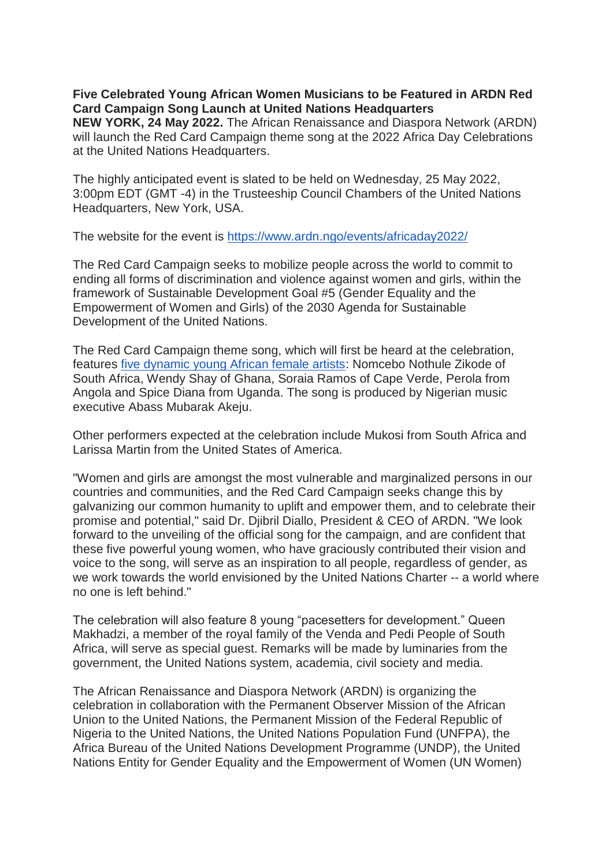## **Five Celebrated Young African Women Musicians to be Featured in ARDN Red Card Campaign Song Launch at United Nations Headquarters**

**NEW YORK, 24 May 2022.** The African Renaissance and Diaspora Network (ARDN) will launch the Red Card Campaign theme song at the 2022 Africa Day Celebrations at the United Nations Headquarters.

The highly anticipated event is slated to be held on Wednesday, 25 May 2022, 3:00pm EDT (GMT -4) in the Trusteeship Council Chambers of the United Nations Headquarters, New York, USA.

The website for the event is [https://www.ardn.ngo/events/africaday2022/](https://news.ardn.ngo/r/2420b1b7f26c752a170480fbc?ct=YTo1OntzOjY6InNvdXJjZSI7YToyOntpOjA7czo1OiJlbWFpbCI7aToxO2k6NzA7fXM6NToiZW1haWwiO2k6NzA7czo0OiJzdGF0IjtzOjIyOiI2MjhkMmRkMWM5MTVlMTA1ODU0NjQxIjtzOjQ6ImxlYWQiO3M6NDoiOTkwOCI7czo3OiJjaGFubmVsIjthOjE6e3M6NToiZW1haWwiO2k6NzA7fX0%3D&)

The Red Card Campaign seeks to mobilize people across the world to commit to ending all forms of discrimination and violence against women and girls, within the framework of Sustainable Development Goal #5 (Gender Equality and the Empowerment of Women and Girls) of the 2030 Agenda for Sustainable Development of the United Nations.

The Red Card Campaign theme song, which will first be heard at the celebration, features [five dynamic young African female artists:](https://news.ardn.ngo/r/55f376c72fc8128119a3e299b?ct=YTo1OntzOjY6InNvdXJjZSI7YToyOntpOjA7czo1OiJlbWFpbCI7aToxO2k6NzA7fXM6NToiZW1haWwiO2k6NzA7czo0OiJzdGF0IjtzOjIyOiI2MjhkMmRkMWM5MTVlMTA1ODU0NjQxIjtzOjQ6ImxlYWQiO3M6NDoiOTkwOCI7czo3OiJjaGFubmVsIjthOjE6e3M6NToiZW1haWwiO2k6NzA7fX0%3D&) Nomcebo Nothule Zikode of South Africa, Wendy Shay of Ghana, Soraia Ramos of Cape Verde, Perola from Angola and Spice Diana from Uganda. The song is produced by Nigerian music executive Abass Mubarak Akeju.

Other performers expected at the celebration include Mukosi from South Africa and Larissa Martin from the United States of America.

"Women and girls are amongst the most vulnerable and marginalized persons in our countries and communities, and the Red Card Campaign seeks change this by galvanizing our common humanity to uplift and empower them, and to celebrate their promise and potential," said Dr. Djibril Diallo, President & CEO of ARDN. "We look forward to the unveiling of the official song for the campaign, and are confident that these five powerful young women, who have graciously contributed their vision and voice to the song, will serve as an inspiration to all people, regardless of gender, as we work towards the world envisioned by the United Nations Charter -- a world where no one is left behind."

The celebration will also feature 8 young "pacesetters for development." Queen Makhadzi, a member of the royal family of the Venda and Pedi People of South Africa, will serve as special guest. Remarks will be made by luminaries from the government, the United Nations system, academia, civil society and media.

The African Renaissance and Diaspora Network (ARDN) is organizing the celebration in collaboration with the Permanent Observer Mission of the African Union to the United Nations, the Permanent Mission of the Federal Republic of Nigeria to the United Nations, the United Nations Population Fund (UNFPA), the Africa Bureau of the United Nations Development Programme (UNDP), the United Nations Entity for Gender Equality and the Empowerment of Women (UN Women)